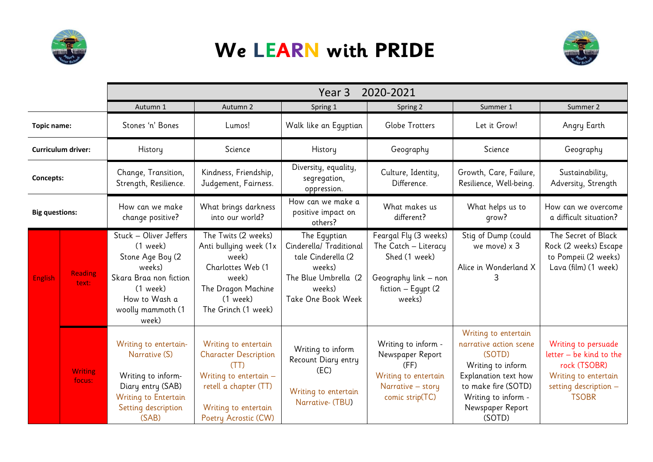

## **We LEARN with PRIDE**



|                           |                          | 2020-2021<br>Year <sub>3</sub>                                                                                                                            |                                                                                                                                                                   |                                                                                                                                 |                                                                                                                        |                                                                                                                                                                                   |                                                                                                                                 |
|---------------------------|--------------------------|-----------------------------------------------------------------------------------------------------------------------------------------------------------|-------------------------------------------------------------------------------------------------------------------------------------------------------------------|---------------------------------------------------------------------------------------------------------------------------------|------------------------------------------------------------------------------------------------------------------------|-----------------------------------------------------------------------------------------------------------------------------------------------------------------------------------|---------------------------------------------------------------------------------------------------------------------------------|
|                           |                          | Autumn 1                                                                                                                                                  | Autumn 2                                                                                                                                                          | Spring 1                                                                                                                        | Spring 2                                                                                                               | Summer 1                                                                                                                                                                          | Summer 2                                                                                                                        |
| <b>Topic name:</b>        |                          | Stones 'n' Bones                                                                                                                                          | Lumos!                                                                                                                                                            | Walk like an Egyptian                                                                                                           | Globe Trotters                                                                                                         | Let it Grow!                                                                                                                                                                      | Angry Earth                                                                                                                     |
| <b>Curriculum driver:</b> |                          | History                                                                                                                                                   | Science                                                                                                                                                           | History                                                                                                                         | Geography                                                                                                              | Science                                                                                                                                                                           | Geography                                                                                                                       |
| Concepts:                 |                          | Change, Transition,<br>Strength, Resilience.                                                                                                              | Kindness, Friendship,<br>Judgement, Fairness.                                                                                                                     | Diversity, equality,<br>segregation,<br>oppression.                                                                             | Culture, Identity,<br>Difference.                                                                                      | Growth, Care, Failure,<br>Resilience, Well-being.                                                                                                                                 | Sustainability,<br>Adversity, Strength                                                                                          |
| <b>Big questions:</b>     |                          | How can we make<br>change positive?                                                                                                                       | What brings darkness<br>into our world?                                                                                                                           | How can we make a<br>positive impact on<br>others?                                                                              | What makes us<br>different?                                                                                            | What helps us to<br>grow?                                                                                                                                                         | How can we overcome<br>a difficult situation?                                                                                   |
| <b>English</b>            | <b>Reading</b><br>text:  | Stuck - Oliver Jeffers<br>$(1$ week)<br>Stone Age Boy (2<br>weeks)<br>Skara Braa non fiction<br>$(1$ week)<br>How to Wash a<br>woolly mammoth (1<br>week) | The Twits (2 weeks)<br>Anti bullying week (1x<br>week)<br>Charlottes Web (1<br>week)<br>The Dragon Machine<br>(1 week)<br>The Grinch (1 week)                     | The Eqyptian<br>Cinderella/ Traditional<br>tale Cinderella (2<br>weeks)<br>The Blue Umbrella (2<br>weeks)<br>Take One Book Week | Feargal Fly (3 weeks)<br>The Catch - Literacy<br>Shed (1 week)<br>Geography link - non<br>fiction - Egypt (2<br>weeks) | Stig of Dump (could<br>we move) x 3<br>Alice in Wonderland X                                                                                                                      | The Secret of Black<br>Rock (2 weeks) Escape<br>to Pompeii (2 weeks)<br>Lava (film) (1 week)                                    |
|                           | <b>Writing</b><br>focus: | Writing to entertain-<br>Narrative (S)<br>Writing to inform-<br>Diary entry (SAB)<br>Writing to Entertain<br>Setting description<br>(SAB)                 | Writing to entertain<br><b>Character Description</b><br>(TT)<br>Writing to entertain $-$<br>retell a chapter (TT)<br>Writing to entertain<br>Poetry Acrostic (CW) | Writing to inform<br>Recount Diary entry<br>(EC)<br>Writing to entertain<br>Narrative- (TBU)                                    | Writing to inform -<br>Newspaper Report<br>(FF)<br>Writing to entertain<br>Narrative - story<br>comic strip(TC)        | Writing to entertain<br>narrative action scene<br>(SOTD)<br>Writing to inform<br>Explanation text how<br>to make fire (SOTD)<br>Writing to inform -<br>Newspaper Report<br>(SOTD) | Writing to persuade<br>letter - be kind to the<br>rock (TSOBR)<br>Writing to entertain<br>setting description -<br><b>TSOBR</b> |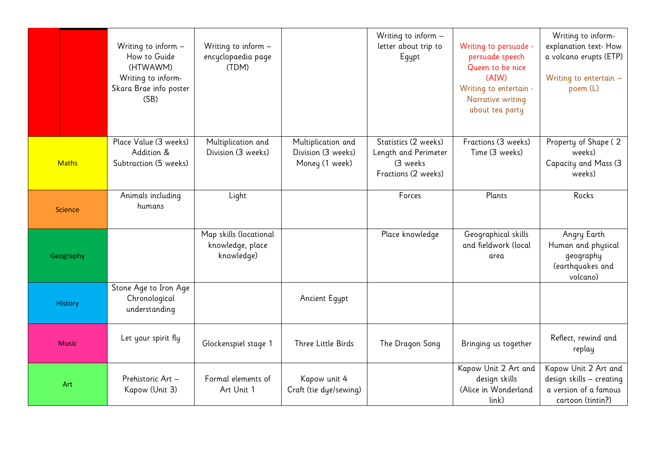|                |              | Writing to inform $-$<br>How to Guide<br>(HTWAWM)<br>Writing to inform-<br>Skara Brae info poster<br>(SB) | Writing to inform $-$<br>encyclopaedia page<br>(TDM)     |                                                            | Writing to inform -<br>letter about trip to<br>Egypt                             | Writing to persuade -<br>persuade speech<br>Queen to be nice<br>(AIW)<br>Writing to entertain -<br>Narrative writing<br>about tea party | Writing to inform-<br>explanation text-How<br>a volcano erupts (ETP)<br>Writing to entertain $-$<br>poem (L) |
|----------------|--------------|-----------------------------------------------------------------------------------------------------------|----------------------------------------------------------|------------------------------------------------------------|----------------------------------------------------------------------------------|-----------------------------------------------------------------------------------------------------------------------------------------|--------------------------------------------------------------------------------------------------------------|
|                | <b>Maths</b> | Place Value (3 weeks)<br>Addition &<br>Subtraction (5 weeks)                                              | Multiplication and<br>Division (3 weeks)                 | Multiplication and<br>Division (3 weeks)<br>Money (1 week) | Statistics (2 weeks)<br>Length and Perimeter<br>(3 weeks)<br>Fractions (2 weeks) | Fractions (3 weeks)<br>Time (3 weeks)                                                                                                   | Property of Shape (2<br>weeks)<br>Capacity and Mass (3<br>weeks)                                             |
| <b>Science</b> |              | Animals including<br>humans                                                                               | Light                                                    |                                                            | Forces                                                                           | Plants                                                                                                                                  | Rocks                                                                                                        |
|                | Geography    |                                                                                                           | Map skills (locational<br>knowledge, place<br>knowledge) |                                                            | Place knowledge                                                                  | Geographical skills<br>and fieldwork (local<br>area                                                                                     | Angry Earth<br>Human and physical<br>geography<br>(earthquakes and<br>volcano)                               |
|                | History      | Stone Age to Iron Age<br>Chronological<br>understanding                                                   |                                                          | Ancient Egypt                                              |                                                                                  |                                                                                                                                         |                                                                                                              |
|                | <b>Music</b> | Let your spirit fly                                                                                       | Glockenspiel stage 1                                     | Three Little Birds                                         | The Dragon Song                                                                  | Bringing us together                                                                                                                    | Reflect, rewind and<br>replay                                                                                |
|                | Art          | Prehistoric Art -<br>Kapow (Unit 3)                                                                       | Formal elements of<br>Art Unit 1                         | Kapow unit 4<br>Craft (tie dye/sewing)                     |                                                                                  | Kapow Unit 2 Art and<br>design skills<br>(Alice in Wonderland<br>link)                                                                  | Kapow Unit 2 Art and<br>design skills - creating<br>a version of a famous<br>cartoon (tintin?)               |